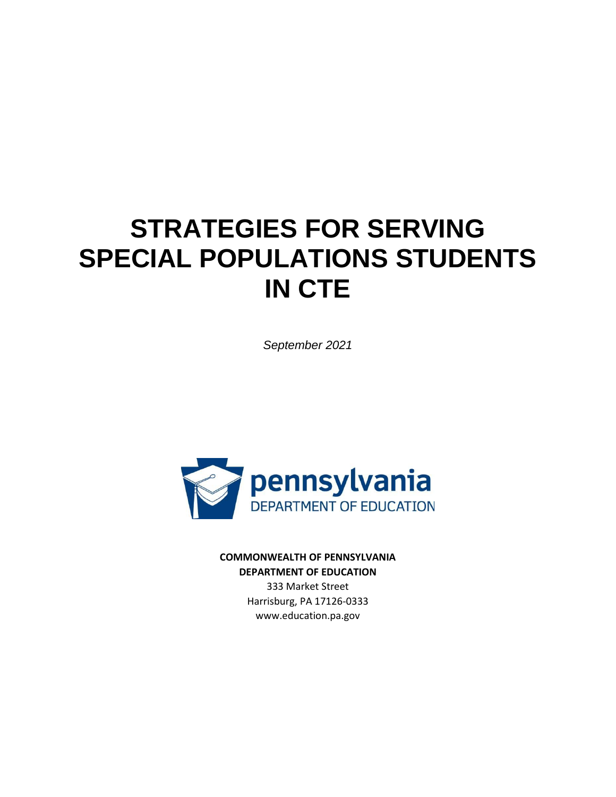# **STRATEGIES FOR SERVING SPECIAL POPULATIONS STUDENTS IN CTE**

*September 2021*



**COMMONWEALTH OF PENNSYLVANIA DEPARTMENT OF EDUCATION**

333 Market Street Harrisburg, PA 17126-0333 www.education.pa.gov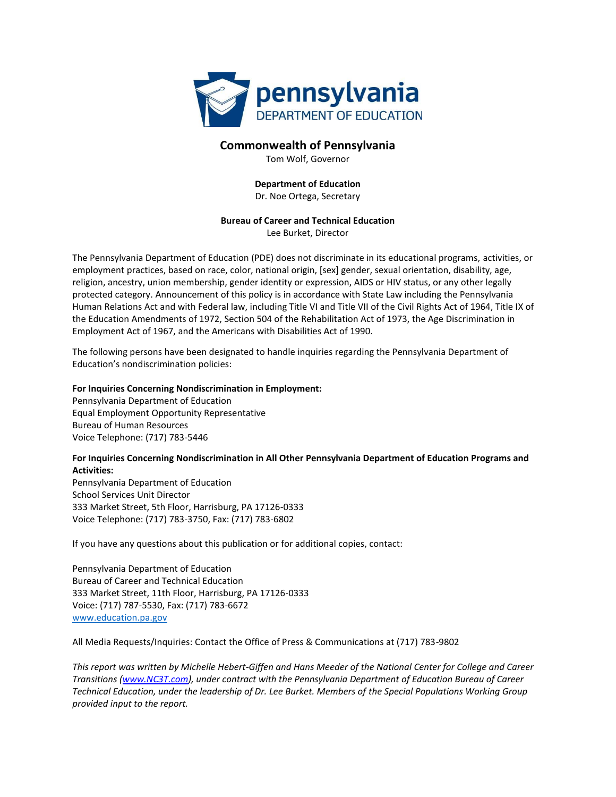

#### **Commonwealth of Pennsylvania**

Tom Wolf, Governor

#### **Department of Education** Dr. Noe Ortega, Secretary

#### **Bureau of Career and Technical Education** Lee Burket, Director

The Pennsylvania Department of Education (PDE) does not discriminate in its educational programs, activities, or employment practices, based on race, color, national origin, [sex] gender, sexual orientation, disability, age, religion, ancestry, union membership, gender identity or expression, AIDS or HIV status, or any other legally protected category. Announcement of this policy is in accordance with State Law including the Pennsylvania Human Relations Act and with Federal law, including Title VI and Title VII of the Civil Rights Act of 1964, Title IX of the Education Amendments of 1972, Section 504 of the Rehabilitation Act of 1973, the Age Discrimination in Employment Act of 1967, and the Americans with Disabilities Act of 1990.

The following persons have been designated to handle inquiries regarding the Pennsylvania Department of Education's nondiscrimination policies:

#### **For Inquiries Concerning Nondiscrimination in Employment:**

Pennsylvania Department of Education Equal Employment Opportunity Representative Bureau of Human Resources Voice Telephone: (717) 783-5446

#### **For Inquiries Concerning Nondiscrimination in All Other Pennsylvania Department of Education Programs and Activities:**

Pennsylvania Department of Education School Services Unit Director 333 Market Street, 5th Floor, Harrisburg, PA 17126-0333 Voice Telephone: (717) 783-3750, Fax: (717) 783-6802

If you have any questions about this publication or for additional copies, contact:

Pennsylvania Department of Education Bureau of Career and Technical Education 333 Market Street, 11th Floor, Harrisburg, PA 17126-0333 Voice: (717) 787-5530, Fax: (717) 783-6672 [www.education.pa.gov](about:blank)

All Media Requests/Inquiries: Contact the Office of Press & Communications at (717) 783-9802

*This report was written by Michelle Hebert-Giffen and Hans Meeder of the National Center for College and Career Transitions [\(www.NC3T.com\)](http://www.nc3t.com/), under contract with the Pennsylvania Department of Education Bureau of Career Technical Education, under the leadership of Dr. Lee Burket. Members of the Special Populations Working Group provided input to the report.*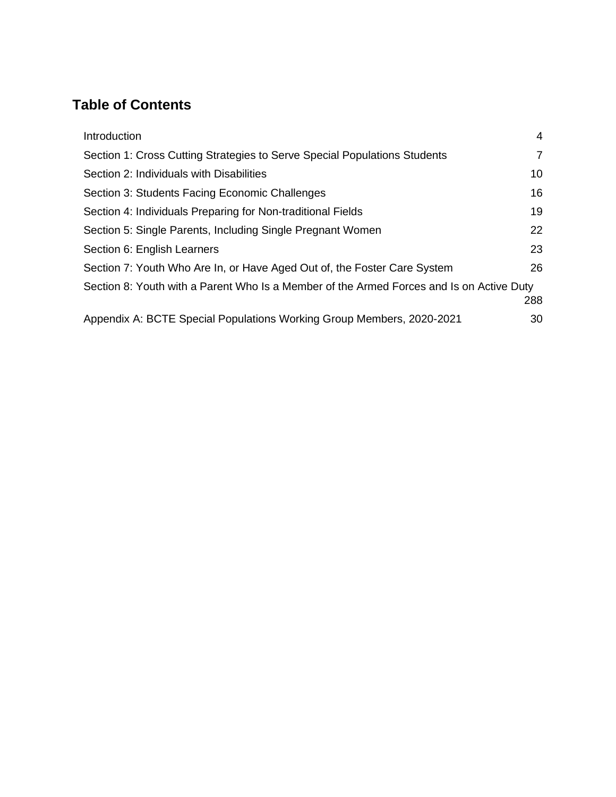# **Table of Contents**

| Introduction                                                                             | 4   |  |
|------------------------------------------------------------------------------------------|-----|--|
| Section 1: Cross Cutting Strategies to Serve Special Populations Students                | 7   |  |
| Section 2: Individuals with Disabilities                                                 | 10  |  |
| Section 3: Students Facing Economic Challenges                                           | 16  |  |
| Section 4: Individuals Preparing for Non-traditional Fields                              | 19  |  |
| Section 5: Single Parents, Including Single Pregnant Women                               | 22  |  |
| Section 6: English Learners                                                              | 23  |  |
| Section 7: Youth Who Are In, or Have Aged Out of, the Foster Care System                 | 26  |  |
| Section 8: Youth with a Parent Who Is a Member of the Armed Forces and Is on Active Duty |     |  |
|                                                                                          | 288 |  |
| Appendix A: BCTE Special Populations Working Group Members, 2020-2021                    | 30  |  |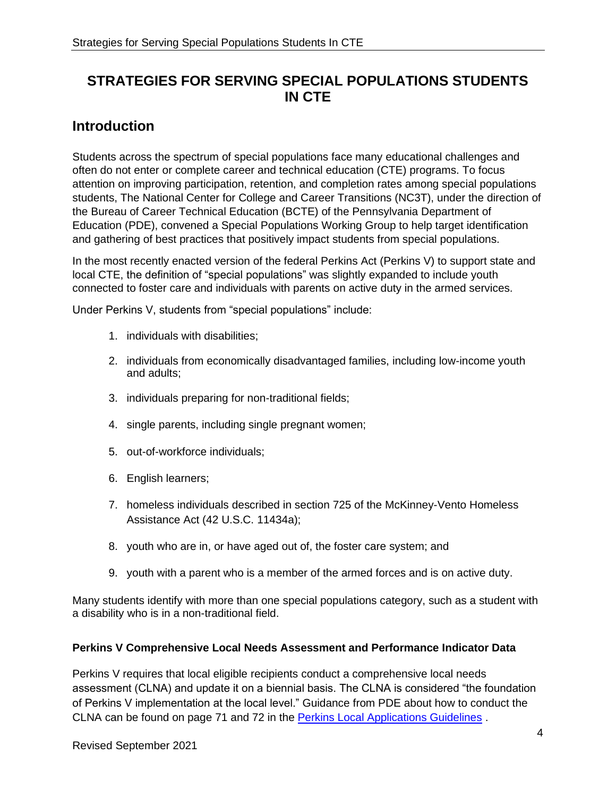# **STRATEGIES FOR SERVING SPECIAL POPULATIONS STUDENTS IN CTE**

# <span id="page-3-0"></span>**Introduction**

Students across the spectrum of special populations face many educational challenges and often do not enter or complete career and technical education (CTE) programs. To focus attention on improving participation, retention, and completion rates among special populations students, The National Center for College and Career Transitions (NC3T), under the direction of the Bureau of Career Technical Education (BCTE) of the Pennsylvania Department of Education (PDE), convened a Special Populations Working Group to help target identification and gathering of best practices that positively impact students from special populations.

In the most recently enacted version of the federal Perkins Act (Perkins V) to support state and local CTE, the definition of "special populations" was slightly expanded to include youth connected to foster care and individuals with parents on active duty in the armed services.

Under Perkins V, students from "special populations" include:

- 1. individuals with disabilities;
- 2. individuals from economically disadvantaged families, including low-income youth and adults;
- 3. individuals preparing for non-traditional fields;
- 4. single parents, including single pregnant women;
- 5. out-of-workforce individuals;
- 6. English learners;
- 7. homeless individuals described in section 725 of the McKinney-Vento Homeless Assistance Act (42 U.S.C. 11434a);
- 8. youth who are in, or have aged out of, the foster care system; and
- 9. youth with a parent who is a member of the armed forces and is on active duty.

Many students identify with more than one special populations category, such as a student with a disability who is in a non-traditional field.

# **Perkins V Comprehensive Local Needs Assessment and Performance Indicator Data**

Perkins V requires that local eligible recipients conduct a comprehensive local needs assessment (CLNA) and update it on a biennial basis. The CLNA is considered "the foundation of Perkins V implementation at the local level." Guidance from PDE about how to conduct the CLNA can be found on page 71 and 72 in the [Perkins Local Applications Guidelines](https://www.education.pa.gov/Documents/K-12/Career%20and%20Technical%20Education/Grants/Perkins%20Local%20Application.pdf) .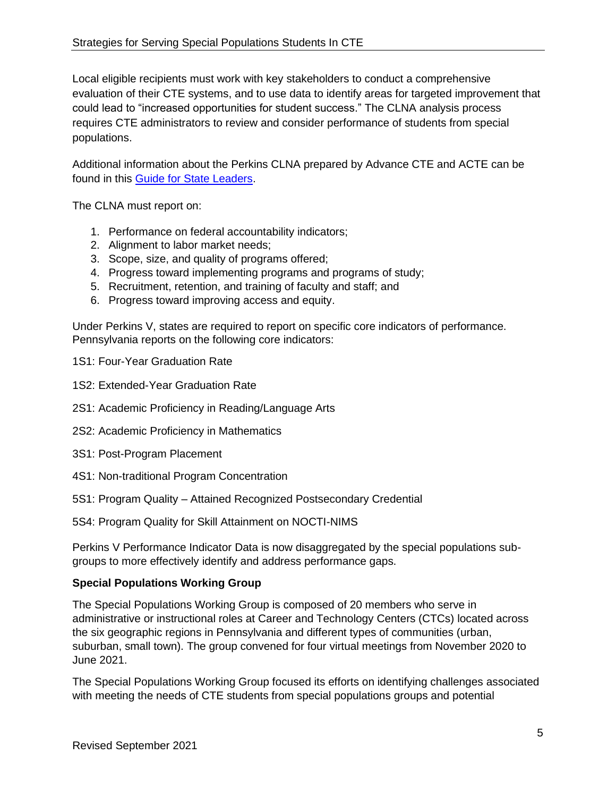Local eligible recipients must work with key stakeholders to conduct a comprehensive evaluation of their CTE systems, and to use data to identify areas for targeted improvement that could lead to "increased opportunities for student success." The CLNA analysis process requires CTE administrators to review and consider performance of students from special populations.

Additional information about the Perkins CLNA prepared by Advance CTE and ACTE can be found in this [Guide for State Leaders.](https://cte.careertech.org/sites/default/files/Local_Tool_Needs_Assessment_FINAL_3.18.2019.pdf)

The CLNA must report on:

- 1. Performance on federal accountability indicators;
- 2. Alignment to labor market needs;
- 3. Scope, size, and quality of programs offered;
- 4. Progress toward implementing programs and programs of study;
- 5. Recruitment, retention, and training of faculty and staff; and
- 6. Progress toward improving access and equity.

Under Perkins V, states are required to report on specific core indicators of performance. Pennsylvania reports on the following core indicators:

[1S1: Four-Year Graduation Rate](about:blank#1S1Modal)

- [1S2: Extended-Year Graduation Rate](about:blank#1S2Modal)
- [2S1: Academic Proficiency in Reading/Language Arts](about:blank#2S1Modal)
- [2S2: Academic Proficiency in Mathematics](about:blank#2S2Modal)
- [3S1: Post-Program Placement](about:blank#3S1Modal)
- [4S1: Non-traditional Program Concentration](about:blank#4S1Modal)
- 5S1: Program Quality [Attained Recognized Postsecondary Credential](about:blank#5S1Modal)
- 5S4: Program Quality for Skill Attainment on NOCTI-NIMS

Perkins V Performance Indicator Data is now disaggregated by the special populations subgroups to more effectively identify and address performance gaps.

# **Special Populations Working Group**

The Special Populations Working Group is composed of 20 members who serve in administrative or instructional roles at Career and Technology Centers (CTCs) located across the six geographic regions in Pennsylvania and different types of communities (urban, suburban, small town). The group convened for four virtual meetings from November 2020 to June 2021.

The Special Populations Working Group focused its efforts on identifying challenges associated with meeting the needs of CTE students from special populations groups and potential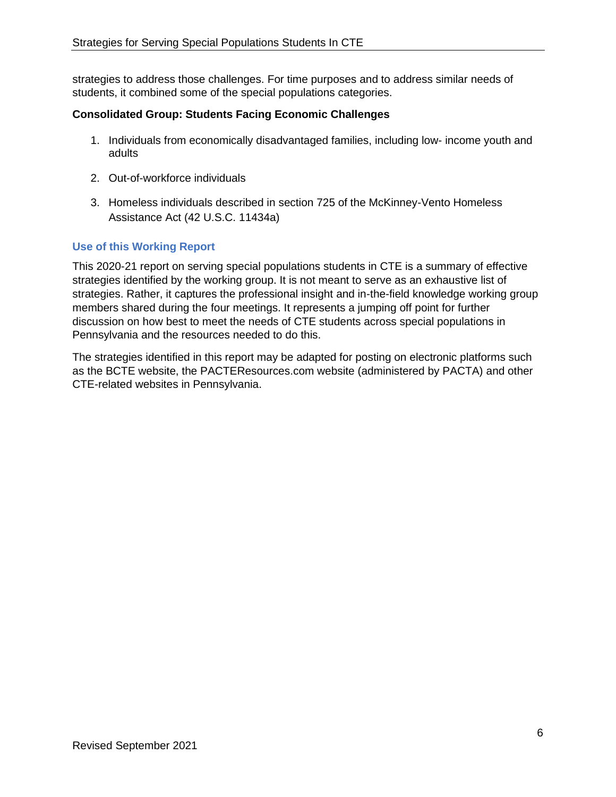strategies to address those challenges. For time purposes and to address similar needs of students, it combined some of the special populations categories.

# **Consolidated Group: Students Facing Economic Challenges**

- 1. Individuals from economically disadvantaged families, including low- income youth and adults
- 2. Out-of-workforce individuals
- 3. Homeless individuals described in section 725 of the McKinney-Vento Homeless Assistance Act (42 U.S.C. 11434a)

# **Use of this Working Report**

This 2020-21 report on serving special populations students in CTE is a summary of effective strategies identified by the working group. It is not meant to serve as an exhaustive list of strategies. Rather, it captures the professional insight and in-the-field knowledge working group members shared during the four meetings. It represents a jumping off point for further discussion on how best to meet the needs of CTE students across special populations in Pennsylvania and the resources needed to do this.

The strategies identified in this report may be adapted for posting on electronic platforms such as the BCTE website, the PACTEResources.com website (administered by PACTA) and other CTE-related websites in Pennsylvania.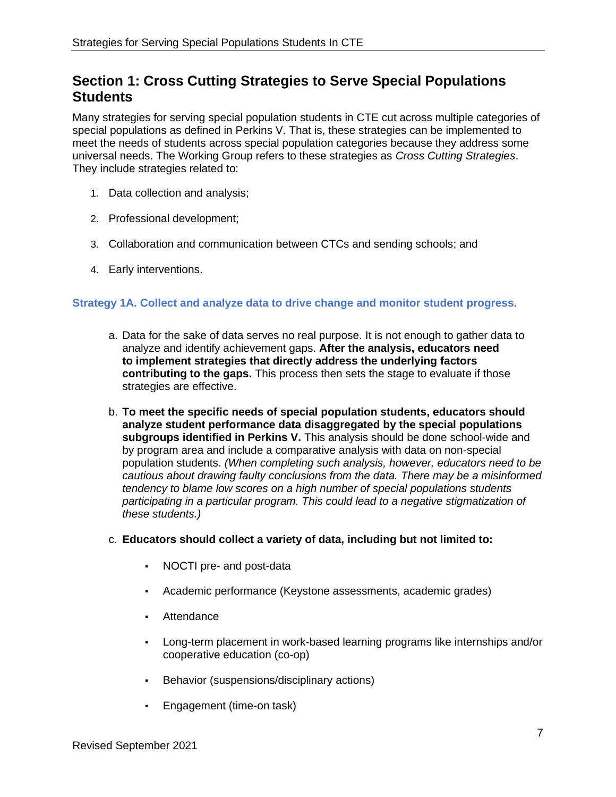# <span id="page-6-0"></span>**Section 1: Cross Cutting Strategies to Serve Special Populations Students**

Many strategies for serving special population students in CTE cut across multiple categories of special populations as defined in Perkins V. That is, these strategies can be implemented to meet the needs of students across special population categories because they address some universal needs. The Working Group refers to these strategies as *Cross Cutting Strategies*. They include strategies related to:

- 1. Data collection and analysis;
- 2. Professional development;
- 3. Collaboration and communication between CTCs and sending schools; and
- 4. Early interventions.

# **Strategy 1A. Collect and analyze data to drive change and monitor student progress.**

- a. Data for the sake of data serves no real purpose. It is not enough to gather data to analyze and identify achievement gaps. **After the analysis, educators need to implement strategies that directly address the underlying factors contributing to the gaps.** This process then sets the stage to evaluate if those strategies are effective.
- b. **To meet the specific needs of special population students, educators should analyze student performance data disaggregated by the special populations**  subgroups identified in Perkins V. This analysis should be done school-wide and by program area and include a comparative analysis with data on non-special population students. *(When completing such analysis, however, educators need to be cautious about drawing faulty conclusions from the data. There may be a misinformed tendency to blame low scores on a high number of special populations students participating in a particular program. This could lead to a negative stigmatization of these students.)*
- c. **Educators should collect a variety of data, including but not limited to:**
	- NOCTI pre- and post-data
	- Academic performance (Keystone assessments, academic grades)
	- Attendance
	- Long-term placement in work-based learning programs like internships and/or cooperative education (co-op)
	- Behavior (suspensions/disciplinary actions)
	- Engagement (time-on task)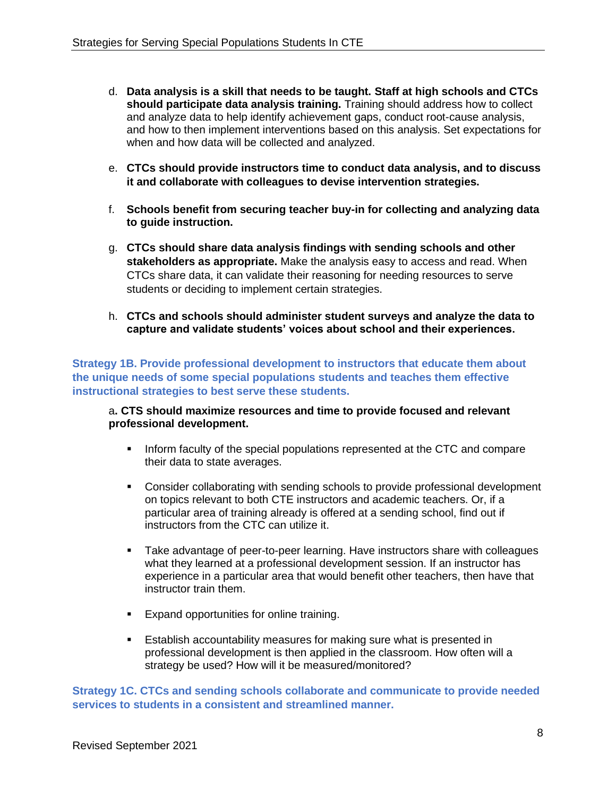- d. **Data analysis is a skill that needs to be taught. Staff at high schools and CTCs should participate data analysis training.** Training should address how to collect and analyze data to help identify achievement gaps, conduct root-cause analysis, and how to then implement interventions based on this analysis. Set expectations for when and how data will be collected and analyzed.
- e. **CTCs should provide instructors time to conduct data analysis, and to discuss it and collaborate with colleagues to devise intervention strategies.**
- f. **Schools benefit from securing teacher buy-in for collecting and analyzing data to guide instruction.**
- g. **CTCs should share data analysis findings with sending schools and other stakeholders as appropriate.** Make the analysis easy to access and read. When CTCs share data, it can validate their reasoning for needing resources to serve students or deciding to implement certain strategies.
- h. **CTCs and schools should administer student surveys and analyze the data to capture and validate students' voices about school and their experiences.**

**Strategy 1B. Provide professional development to instructors that educate them about the unique needs of some special populations students and teaches them effective instructional strategies to best serve these students.**

#### a**. CTS should maximize resources and time to provide focused and relevant professional development.**

- Inform faculty of the special populations represented at the CTC and compare their data to state averages.
- Consider collaborating with sending schools to provide professional development on topics relevant to both CTE instructors and academic teachers. Or, if a particular area of training already is offered at a sending school, find out if instructors from the CTC can utilize it.
- **Take advantage of peer-to-peer learning. Have instructors share with colleagues** what they learned at a professional development session. If an instructor has experience in a particular area that would benefit other teachers, then have that instructor train them.
- **Expand opportunities for online training.**
- **E** Establish accountability measures for making sure what is presented in professional development is then applied in the classroom. How often will a strategy be used? How will it be measured/monitored?

**Strategy 1C. CTCs and sending schools collaborate and communicate to provide needed services to students in a consistent and streamlined manner.**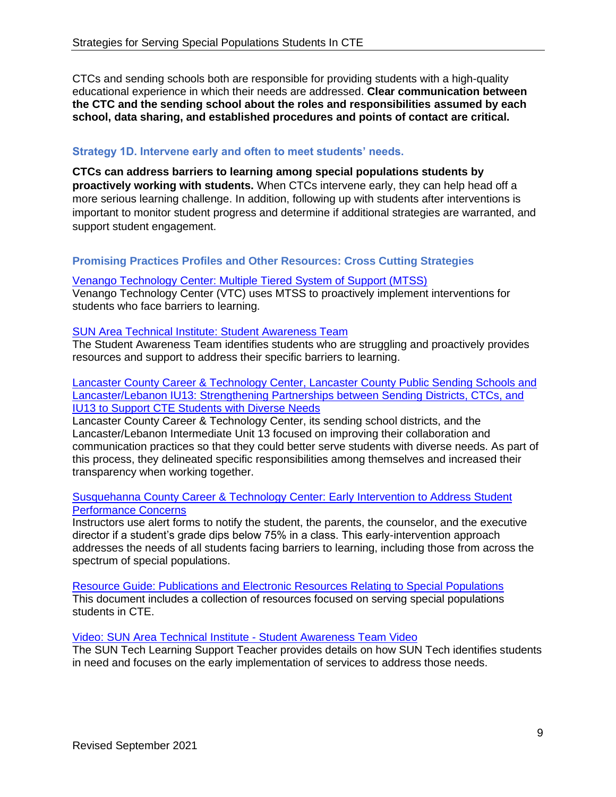CTCs and sending schools both are responsible for providing students with a high-quality educational experience in which their needs are addressed. **Clear communication between the CTC and the sending school about the roles and responsibilities assumed by each school, data sharing, and established procedures and points of contact are critical.**

# **Strategy 1D. Intervene early and often to meet students' needs.**

**CTCs can address barriers to learning among special populations students by proactively working with students.** When CTCs intervene early, they can help head off a more serious learning challenge. In addition, following up with students after interventions is important to monitor student progress and determine if additional strategies are warranted, and support student engagement.

# **Promising Practices Profiles and Other Resources: Cross Cutting Strategies**

#### [Venango Technology Center: Multiple Tiered System of Support \(MTSS\)](http://pacteresources.com/2021/06/venango-technology-center-multiple-tiered-system-of-support-mtss/)

Venango Technology Center (VTC) uses MTSS to proactively implement interventions for students who face barriers to learning.

# [SUN Area Technical Institute: Student Awareness Team](http://pacteresources.com/2021/05/sun-area-technical-institute-student-awareness-team/)

The Student Awareness Team identifies students who are struggling and proactively provides resources and support to address their specific barriers to learning.

[Lancaster County Career & Technology Center, Lancaster County Public Sending Schools and](http://pacteresources.com/2021/05/lancaster-county-career-technology-center-lancaster-county-public-sending-schools-and-lancaster-lebanon-iu13-strengthening-partnerships-between-sending-districts-ctcs-and-iu-13-to-support-cte-st/)  [Lancaster/Lebanon IU13: Strengthening Partnerships between Sending Districts, CTCs, and](http://pacteresources.com/2021/05/lancaster-county-career-technology-center-lancaster-county-public-sending-schools-and-lancaster-lebanon-iu13-strengthening-partnerships-between-sending-districts-ctcs-and-iu-13-to-support-cte-st/)  [IU13 to Support CTE Students with Diverse Needs](http://pacteresources.com/2021/05/lancaster-county-career-technology-center-lancaster-county-public-sending-schools-and-lancaster-lebanon-iu13-strengthening-partnerships-between-sending-districts-ctcs-and-iu-13-to-support-cte-st/)

Lancaster County Career & Technology Center, its sending school districts, and the Lancaster/Lebanon Intermediate Unit 13 focused on improving their collaboration and communication practices so that they could better serve students with diverse needs. As part of this process, they delineated specific responsibilities among themselves and increased their transparency when working together.

#### [Susquehanna County Career & Technology Center: Early Intervention to Address Student](http://pacteresources.com/2021/05/susquehanna-county-career-technology-center-early-intervention-to-address-student-performance-concerns/)  [Performance Concerns](http://pacteresources.com/2021/05/susquehanna-county-career-technology-center-early-intervention-to-address-student-performance-concerns/)

Instructors use alert forms to notify the student, the parents, the counselor, and the executive director if a student's grade dips below 75% in a class. This early-intervention approach addresses the needs of all students facing barriers to learning, including those from across the spectrum of special populations.

[Resource Guide: Publications and Electronic Resources Relating to Special Populations](http://pacteresources.com/2021/03/resource-guide-publications-and-electronic-resources-relating-to-special-populations/) This document includes a collection of resources focused on serving special populations students in CTE.

# [Video: SUN Area Technical Institute -](http://pacteresources.com/2021/06/the-best-practice-tap-profiles-webcast-series-episode-15/) Student Awareness Team Video

The SUN Tech Learning Support Teacher provides details on how SUN Tech identifies students in need and focuses on the early implementation of services to address those needs.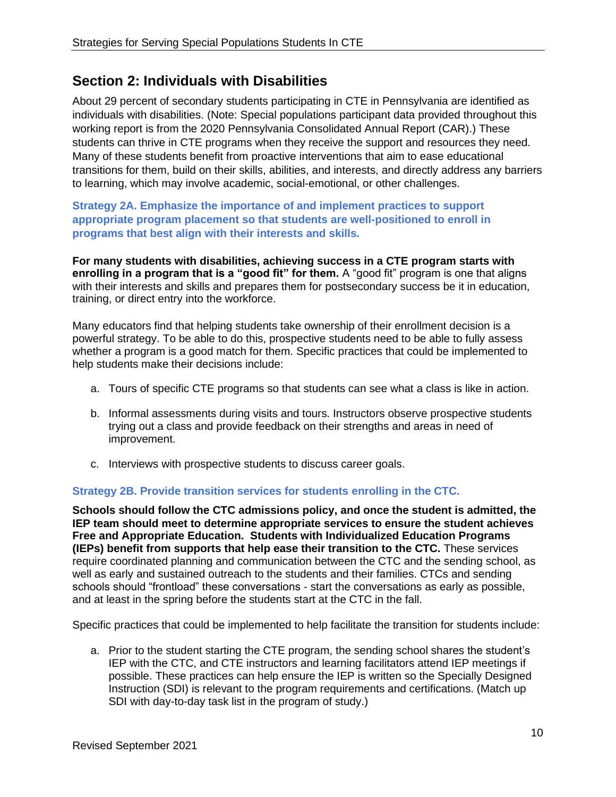# <span id="page-9-0"></span>**Section 2: Individuals with Disabilities**

About 29 percent of secondary students participating in CTE in Pennsylvania are identified as individuals with disabilities. (Note: Special populations participant data provided throughout this working report is from the 2020 Pennsylvania Consolidated Annual Report (CAR).) These students can thrive in CTE programs when they receive the support and resources they need. Many of these students benefit from proactive interventions that aim to ease educational transitions for them, build on their skills, abilities, and interests, and directly address any barriers to learning, which may involve academic, social-emotional, or other challenges.

# **Strategy 2A. Emphasize the importance of and implement practices to support appropriate program placement so that students are well-positioned to enroll in programs that best align with their interests and skills.**

**For many students with disabilities, achieving success in a CTE program starts with enrolling in a program that is a "good fit" for them.** A "good fit" program is one that aligns with their interests and skills and prepares them for postsecondary success be it in education, training, or direct entry into the workforce.

Many educators find that helping students take ownership of their enrollment decision is a powerful strategy. To be able to do this, prospective students need to be able to fully assess whether a program is a good match for them. Specific practices that could be implemented to help students make their decisions include:

- a. Tours of specific CTE programs so that students can see what a class is like in action.
- b. Informal assessments during visits and tours. Instructors observe prospective students trying out a class and provide feedback on their strengths and areas in need of improvement.
- c. Interviews with prospective students to discuss career goals.

# **Strategy 2B. Provide transition services for students enrolling in the CTC.**

**Schools should follow the CTC admissions policy, and once the student is admitted, the IEP team should meet to determine appropriate services to ensure the student achieves Free and Appropriate Education. Students with Individualized Education Programs (IEPs) benefit from supports that help ease their transition to the CTC.** These services require coordinated planning and communication between the CTC and the sending school, as well as early and sustained outreach to the students and their families. CTCs and sending schools should "frontload" these conversations - start the conversations as early as possible, and at least in the spring before the students start at the CTC in the fall.

Specific practices that could be implemented to help facilitate the transition for students include:

a. Prior to the student starting the CTE program, the sending school shares the student's IEP with the CTC, and CTE instructors and learning facilitators attend IEP meetings if possible. These practices can help ensure the IEP is written so the Specially Designed Instruction (SDI) is relevant to the program requirements and certifications. (Match up SDI with day-to-day task list in the program of study.)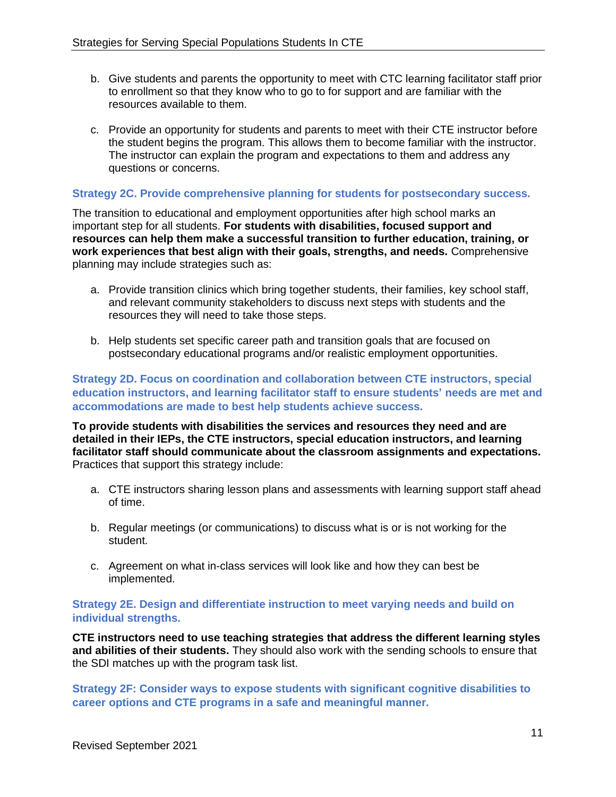- b. Give students and parents the opportunity to meet with CTC learning facilitator staff prior to enrollment so that they know who to go to for support and are familiar with the resources available to them.
- c. Provide an opportunity for students and parents to meet with their CTE instructor before the student begins the program. This allows them to become familiar with the instructor. The instructor can explain the program and expectations to them and address any questions or concerns.

# **Strategy 2C. Provide comprehensive planning for students for postsecondary success.**

The transition to educational and employment opportunities after high school marks an important step for all students. **For students with disabilities, focused support and resources can help them make a successful transition to further education, training, or work experiences that best align with their goals, strengths, and needs.** Comprehensive planning may include strategies such as:

- a. Provide transition clinics which bring together students, their families, key school staff, and relevant community stakeholders to discuss next steps with students and the resources they will need to take those steps.
- b. Help students set specific career path and transition goals that are focused on postsecondary educational programs and/or realistic employment opportunities.

**Strategy 2D. Focus on coordination and collaboration between CTE instructors, special education instructors, and learning facilitator staff to ensure students' needs are met and accommodations are made to best help students achieve success.** 

**To provide students with disabilities the services and resources they need and are detailed in their IEPs, the CTE instructors, special education instructors, and learning facilitator staff should communicate about the classroom assignments and expectations.** Practices that support this strategy include:

- a. CTE instructors sharing lesson plans and assessments with learning support staff ahead of time.
- b. Regular meetings (or communications) to discuss what is or is not working for the student.
- c. Agreement on what in-class services will look like and how they can best be implemented.

# **Strategy 2E. Design and differentiate instruction to meet varying needs and build on individual strengths.**

**CTE instructors need to use teaching strategies that address the different learning styles and abilities of their students.** They should also work with the sending schools to ensure that the SDI matches up with the program task list.

**Strategy 2F: Consider ways to expose students with significant cognitive disabilities to career options and CTE programs in a safe and meaningful manner.**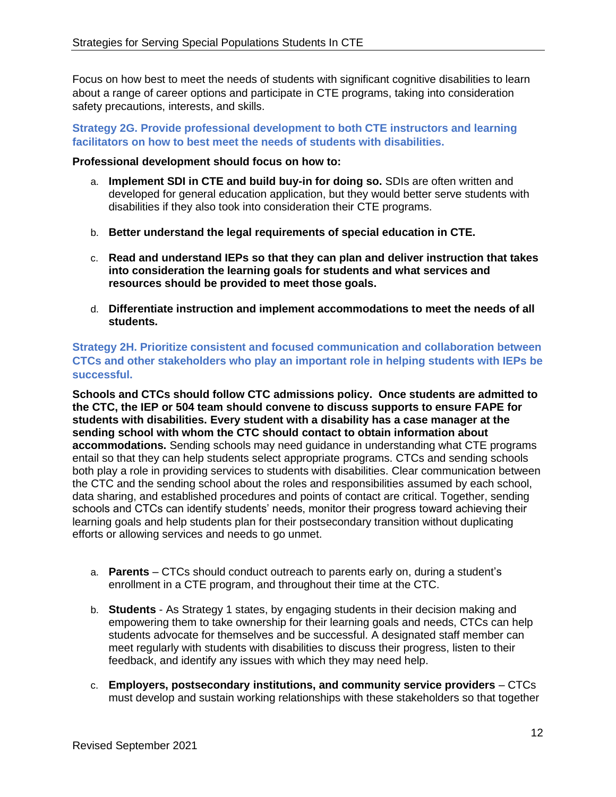Focus on how best to meet the needs of students with significant cognitive disabilities to learn about a range of career options and participate in CTE programs, taking into consideration safety precautions, interests, and skills.

**Strategy 2G. Provide professional development to both CTE instructors and learning facilitators on how to best meet the needs of students with disabilities.** 

### **Professional development should focus on how to:**

- a. **Implement SDI in CTE and build buy-in for doing so.** SDIs are often written and developed for general education application, but they would better serve students with disabilities if they also took into consideration their CTE programs.
- b. **Better understand the legal requirements of special education in CTE.**
- c. **Read and understand IEPs so that they can plan and deliver instruction that takes into consideration the learning goals for students and what services and resources should be provided to meet those goals.**
- d. **Differentiate instruction and implement accommodations to meet the needs of all students.**

**Strategy 2H. Prioritize consistent and focused communication and collaboration between CTCs and other stakeholders who play an important role in helping students with IEPs be successful.**

**Schools and CTCs should follow CTC admissions policy. Once students are admitted to the CTC, the IEP or 504 team should convene to discuss supports to ensure FAPE for students with disabilities. Every student with a disability has a case manager at the sending school with whom the CTC should contact to obtain information about accommodations.** Sending schools may need guidance in understanding what CTE programs entail so that they can help students select appropriate programs. CTCs and sending schools both play a role in providing services to students with disabilities. Clear communication between the CTC and the sending school about the roles and responsibilities assumed by each school, data sharing, and established procedures and points of contact are critical. Together, sending schools and CTCs can identify students' needs, monitor their progress toward achieving their learning goals and help students plan for their postsecondary transition without duplicating efforts or allowing services and needs to go unmet.

- a. **Parents** CTCs should conduct outreach to parents early on, during a student's enrollment in a CTE program, and throughout their time at the CTC.
- b. **Students** As Strategy 1 states, by engaging students in their decision making and empowering them to take ownership for their learning goals and needs, CTCs can help students advocate for themselves and be successful. A designated staff member can meet regularly with students with disabilities to discuss their progress, listen to their feedback, and identify any issues with which they may need help.
- c. **Employers, postsecondary institutions, and community service providers** CTCs must develop and sustain working relationships with these stakeholders so that together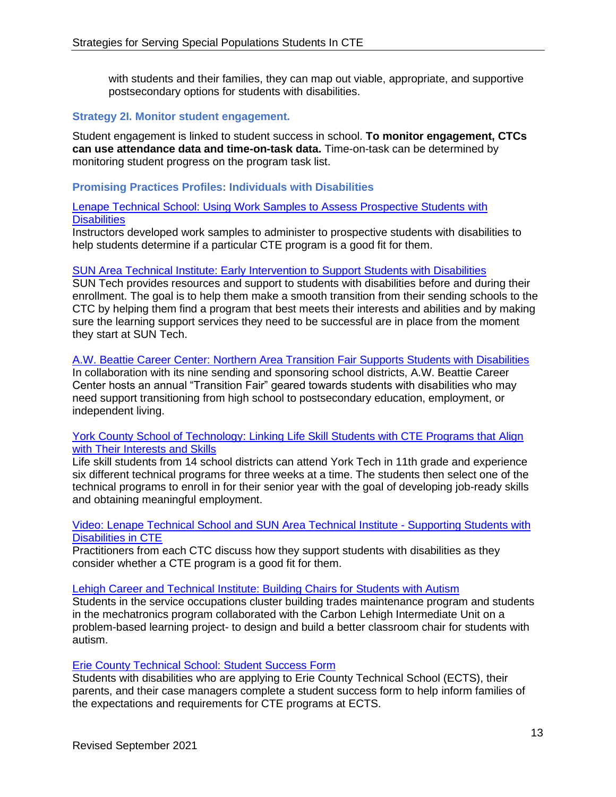with students and their families, they can map out viable, appropriate, and supportive postsecondary options for students with disabilities.

#### **Strategy 2I. Monitor student engagement.**

Student engagement is linked to student success in school. **To monitor engagement, CTCs can use attendance data and time-on-task data.** Time-on-task can be determined by monitoring student progress on the program task list.

#### **Promising Practices Profiles: Individuals with Disabilities**

#### [Lenape Technical School: Using Work Samples to Assess Prospective Students with](http://pacteresources.com/2021/04/lenape-technical-school-using-work-samples-to-assess-prospective-students-with-ieps/)  **[Disabilities](http://pacteresources.com/2021/04/lenape-technical-school-using-work-samples-to-assess-prospective-students-with-ieps/)**

Instructors developed work samples to administer to prospective students with disabilities to help students determine if a particular CTE program is a good fit for them.

# [SUN Area Technical Institute: Early Intervention to Support Students with Disabilities](http://pacteresources.com/2021/04/sun-area-technical-institute-early-intervention-to-support-students-with-ieps/)

SUN Tech provides resources and support to students with disabilities before and during their enrollment. The goal is to help them make a smooth transition from their sending schools to the CTC by helping them find a program that best meets their interests and abilities and by making sure the learning support services they need to be successful are in place from the moment they start at SUN Tech.

### A.W. [Beattie Career Center: Northern Area Transition Fair Supports Students with Disabilities](http://pacteresources.com/2021/04/a-w-beattie-career-center-northern-area-transition-fair-supports-students-with-disabilities/)

In collaboration with its nine sending and sponsoring school districts, A.W. Beattie Career Center hosts an annual "Transition Fair" geared towards students with disabilities who may need support transitioning from high school to postsecondary education, employment, or independent living.

#### York County School of Technology: Linking Life Skill Students with CTE Programs that Align [with Their Interests and Skills](http://pacteresources.com/2021/06/york-county-school-of-technology-linking-life-skill-students-with-cte-programs-that-align-with-their-interests-and-skills/)

Life skill students from 14 school districts can attend York Tech in 11th grade and experience six different technical programs for three weeks at a time. The students then select one of the technical programs to enroll in for their senior year with the goal of developing job-ready skills and obtaining meaningful employment.

#### [Video: Lenape Technical School and SUN Area Technical Institute -](http://pacteresources.com/2021/06/the-best-practice-tap-profiles-webcast-series-episode-16/) Supporting Students with [Disabilities](http://pacteresources.com/2021/06/the-best-practice-tap-profiles-webcast-series-episode-16/) in CTE

Practitioners from each CTC discuss how they support students with disabilities as they consider whether a CTE program is a good fit for them.

#### [Lehigh Career and Technical Institute: Building Chairs for Students with Autism](http://pacteresources.com/2019/10/problem-based-learning-building-chairs-for-students-with-autism/)

Students in the service occupations cluster building trades maintenance program and students in the mechatronics program collaborated with the Carbon Lehigh Intermediate Unit on a problem-based learning project- to design and build a better classroom chair for students with autism.

#### [Erie County Technical School: Student Success Form](http://pacteresources.com/2019/05/student-success-form/)

Students with disabilities who are applying to Erie County Technical School (ECTS), their parents, and their case managers complete a student success form to help inform families of the expectations and requirements for CTE programs at ECTS.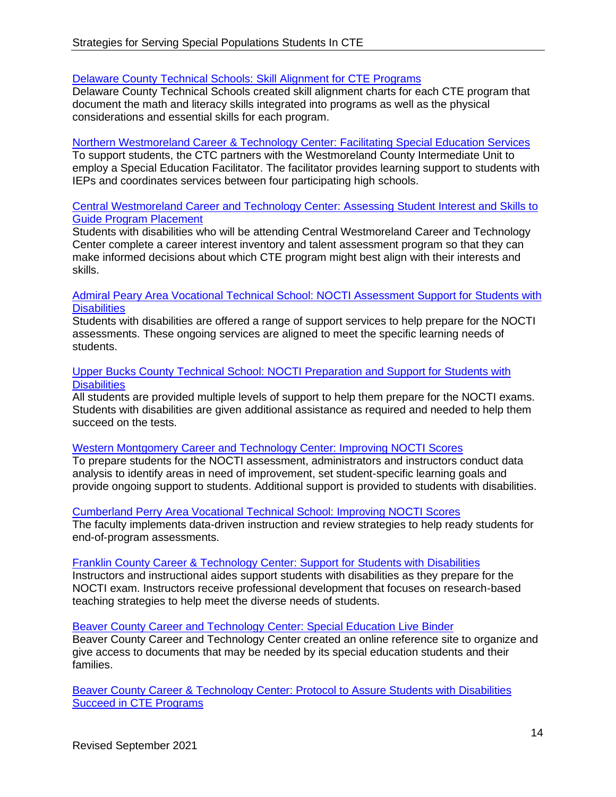# [Delaware County Technical Schools: Skill Alignment for CTE Programs](http://pacteresources.com/2019/05/skill-alignment-for-cte-programs/)

Delaware County Technical Schools created skill alignment charts for each CTE program that document the math and literacy skills integrated into programs as well as the physical considerations and essential skills for each program.

# [Northern Westmoreland Career & Technology Center: Facilitating Special Education Services](http://pacteresources.com/2019/05/facilitating-special-education-services/)

To support students, the CTC partners with the Westmoreland County Intermediate Unit to employ a Special Education Facilitator. The facilitator provides learning support to students with IEPs and coordinates services between four participating high schools.

# [Central Westmoreland Career and Technology Center: Assessing Student Interest and Skills to](http://pacteresources.com/2019/05/assessing-student-interest-and-skills-to-guide-program-placement/)  [Guide Program Placement](http://pacteresources.com/2019/05/assessing-student-interest-and-skills-to-guide-program-placement/)

Students with disabilities who will be attending Central Westmoreland Career and Technology Center complete a career interest inventory and talent assessment program so that they can make informed decisions about which CTE program might best align with their interests and skills.

#### [Admiral Peary Area Vocational](http://pacteresources.com/2018/04/admiral-peary-area-vocational-technical-school-nocti-assessment-support-for-students-with-ieps/) [Technical School: NOCTI Assessment Support for Students with](http://pacteresources.com/2018/04/admiral-peary-area-vocational-technical-school-nocti-assessment-support-for-students-with-ieps/)  **[Disabilities](http://pacteresources.com/2018/04/admiral-peary-area-vocational-technical-school-nocti-assessment-support-for-students-with-ieps/)**

Students with disabilities are offered a range of support services to help prepare for the NOCTI assessments. These ongoing services are aligned to meet the specific learning needs of students.

#### [Upper Bucks County Technical School: NOCTI Preparation and Support for Students with](http://pacteresources.com/2018/03/upper-bucks-county-technical-school-nocti-preparation-and-support-for-students-with-ieps/)  **[Disabilities](http://pacteresources.com/2018/03/upper-bucks-county-technical-school-nocti-preparation-and-support-for-students-with-ieps/)**

All students are provided multiple levels of support to help them prepare for the NOCTI exams. Students with disabilities are given additional assistance as required and needed to help them succeed on the tests.

# [Western Montgomery Career and Technology Center: Improving NOCTI Scores](http://pacteresources.com/2018/03/improving-nocti-scores-at-western-montgomery-career-and-technology-center/)

To prepare students for the NOCTI assessment, administrators and instructors conduct data analysis to identify areas in need of improvement, set student-specific learning goals and provide ongoing support to students. Additional support is provided to students with disabilities.

# [Cumberland Perry Area Vocational Technical School: Improving NOCTI Scores](http://pacteresources.com/2018/03/improving-nocti-scores-at-cumberland-perry-area-vocational-technical-school/)

The faculty implements data-driven instruction and review strategies to help ready students for end-of-program assessments.

# [Franklin County Career & Technology Center: Support for Students with Disabilities](http://pacteresources.com/2018/02/franklin-ctcs-support-for-students-with-ieps/)

Instructors and instructional aides support students with disabilities as they prepare for the NOCTI exam. Instructors receive professional development that focuses on research-based teaching strategies to help meet the diverse needs of students.

# [Beaver County Career and Technology Center: Special Education Live Binder](http://pacteresources.com/2017/04/special-education-live-binder/)

Beaver County Career and Technology Center created an online reference site to organize and give access to documents that may be needed by its special education students and their families.

[Beaver County Career & Technology Center: Protocol to Assure Students with Disabilities](http://pacteresources.com/2015/07/protocol-to-assure-special-population-students-succeed-in-cte-programs/) [Succeed in CTE Programs](http://pacteresources.com/2015/07/protocol-to-assure-special-population-students-succeed-in-cte-programs/)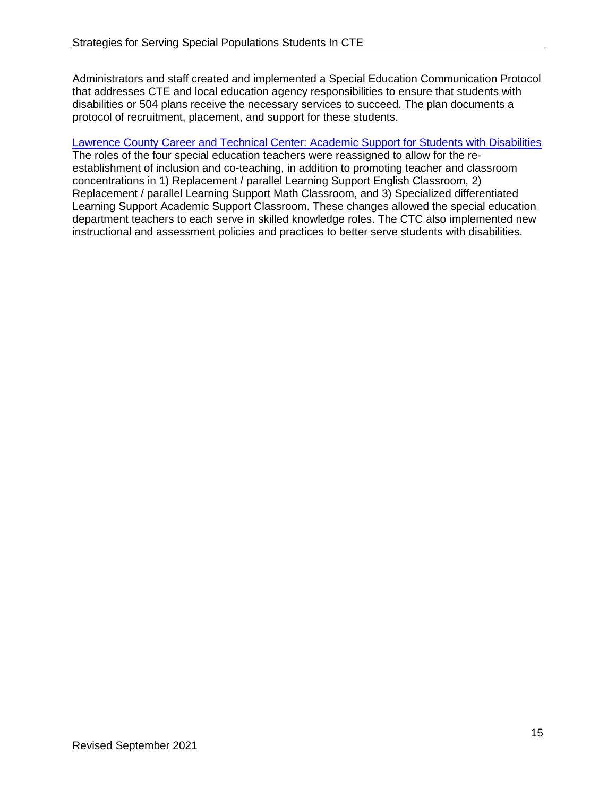Administrators and staff created and implemented a Special Education Communication Protocol that addresses CTE and local education agency responsibilities to ensure that students with disabilities or 504 plans receive the necessary services to succeed. The plan documents a protocol of recruitment, placement, and support for these students.

#### [Lawrence County Career and Technical Center: Academic Support for Students with Disabilities](http://pacteresources.com/2015/06/effective-academic-support-for-special-population-students/)

The roles of the four special education teachers were reassigned to allow for the reestablishment of inclusion and co-teaching, in addition to promoting teacher and classroom concentrations in 1) Replacement / parallel Learning Support English Classroom, 2) Replacement / parallel Learning Support Math Classroom, and 3) Specialized differentiated Learning Support Academic Support Classroom. These changes allowed the special education department teachers to each serve in skilled knowledge roles. The CTC also implemented new instructional and assessment policies and practices to better serve students with disabilities.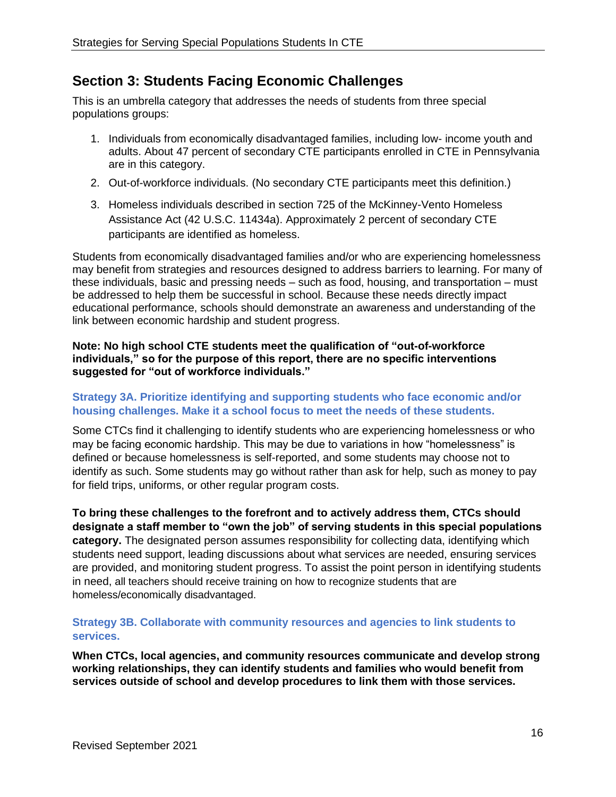# <span id="page-15-0"></span>**Section 3: Students Facing Economic Challenges**

This is an umbrella category that addresses the needs of students from three special populations groups:

- 1. Individuals from economically disadvantaged families, including low- income youth and adults. About 47 percent of secondary CTE participants enrolled in CTE in Pennsylvania are in this category.
- 2. Out-of-workforce individuals. (No secondary CTE participants meet this definition.)
- 3. Homeless individuals described in section 725 of the McKinney-Vento Homeless Assistance Act (42 U.S.C. 11434a). Approximately 2 percent of secondary CTE participants are identified as homeless.

Students from economically disadvantaged families and/or who are experiencing homelessness may benefit from strategies and resources designed to address barriers to learning. For many of these individuals, basic and pressing needs – such as food, housing, and transportation – must be addressed to help them be successful in school. Because these needs directly impact educational performance, schools should demonstrate an awareness and understanding of the link between economic hardship and student progress.

# **Note: No high school CTE students meet the qualification of "out-of-workforce individuals," so for the purpose of this report, there are no specific interventions suggested for "out of workforce individuals."**

# **Strategy 3A. Prioritize identifying and supporting students who face economic and/or housing challenges. Make it a school focus to meet the needs of these students.**

Some CTCs find it challenging to identify students who are experiencing homelessness or who may be facing economic hardship. This may be due to variations in how "homelessness" is defined or because homelessness is self-reported, and some students may choose not to identify as such. Some students may go without rather than ask for help, such as money to pay for field trips, uniforms, or other regular program costs.

**To bring these challenges to the forefront and to actively address them, CTCs should designate a staff member to "own the job" of serving students in this special populations category.** The designated person assumes responsibility for collecting data, identifying which students need support, leading discussions about what services are needed, ensuring services are provided, and monitoring student progress. To assist the point person in identifying students in need, all teachers should receive training on how to recognize students that are homeless/economically disadvantaged.

# **Strategy 3B. Collaborate with community resources and agencies to link students to services.**

**When CTCs, local agencies, and community resources communicate and develop strong working relationships, they can identify students and families who would benefit from services outside of school and develop procedures to link them with those services.**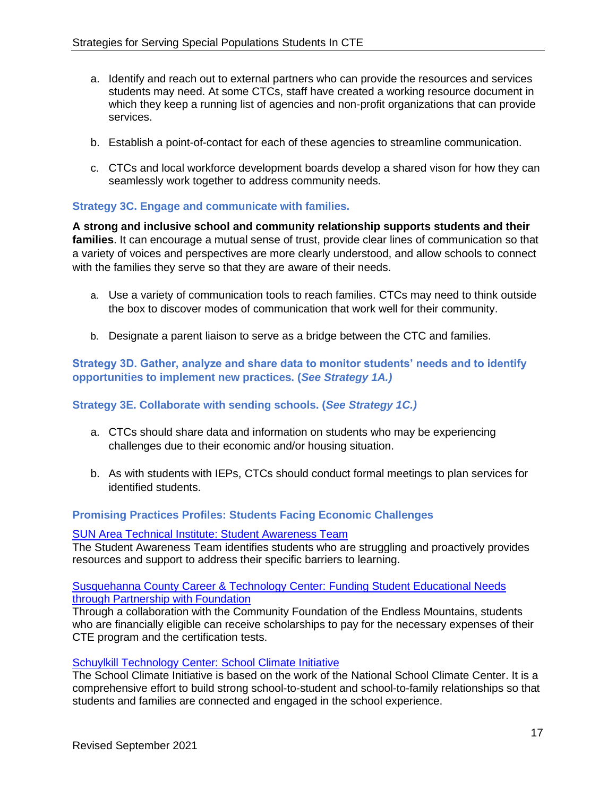- a. Identify and reach out to external partners who can provide the resources and services students may need. At some CTCs, staff have created a working resource document in which they keep a running list of agencies and non-profit organizations that can provide services.
- b. Establish a point-of-contact for each of these agencies to streamline communication.
- c. CTCs and local workforce development boards develop a shared vison for how they can seamlessly work together to address community needs.

# **Strategy 3C. Engage and communicate with families.**

**A strong and inclusive school and community relationship supports students and their families**. It can encourage a mutual sense of trust, provide clear lines of communication so that a variety of voices and perspectives are more clearly understood, and allow schools to connect with the families they serve so that they are aware of their needs.

- a. Use a variety of communication tools to reach families. CTCs may need to think outside the box to discover modes of communication that work well for their community.
- b. Designate a parent liaison to serve as a bridge between the CTC and families.

**Strategy 3D. Gather, analyze and share data to monitor students' needs and to identify opportunities to implement new practices. (***See Strategy 1A.)*

# **Strategy 3E. Collaborate with sending schools. (***See Strategy 1C.)*

- a. CTCs should share data and information on students who may be experiencing challenges due to their economic and/or housing situation.
- b. As with students with IEPs, CTCs should conduct formal meetings to plan services for identified students.

# **Promising Practices Profiles: Students Facing Economic Challenges**

#### [SUN Area Technical Institute: Student Awareness Team](http://pacteresources.com/2021/05/sun-area-technical-institute-student-awareness-team/)

The Student Awareness Team identifies students who are struggling and proactively provides resources and support to address their specific barriers to learning.

[Susquehanna County Career & Technology Center:](http://pacteresources.com/2018/11/funding-student-educational-needs-through-partnership-with-foundation/) Funding Student Educational Needs [through Partnership with Foundation](http://pacteresources.com/2018/11/funding-student-educational-needs-through-partnership-with-foundation/)

Through a collaboration with the Community Foundation of the Endless Mountains, students who are financially eligible can receive scholarships to pay for the necessary expenses of their CTE program and the certification tests.

#### [Schuylkill Technology Center: School Climate Initiative](http://pacteresources.com/2018/04/schuylkill-technology-center-school-climate-initiative/)

The School Climate Initiative is based on the work of the National School Climate Center. It is a comprehensive effort to build strong school-to-student and school-to-family relationships so that students and families are connected and engaged in the school experience.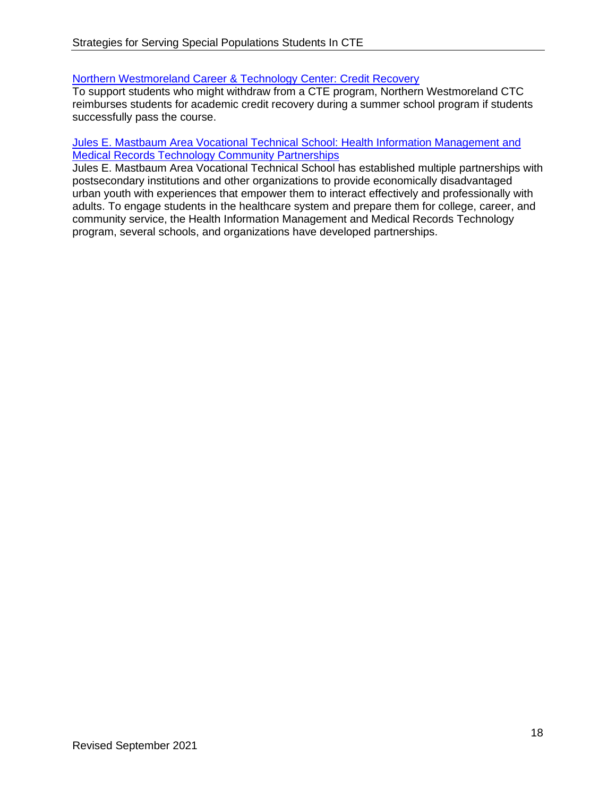# [Northern Westmoreland Career & Technology Center: Credit Recovery](http://pacteresources.com/2017/12/credit-recovery/)

To support students who might withdraw from a CTE program, Northern Westmoreland CTC reimburses students for academic credit recovery during a summer school program if students successfully pass the course.

#### [Jules E. Mastbaum Area Vocational Technical School: Health Information Management and](http://pacteresources.com/2016/06/health-information-management-and-medical-records-technology-community-partnerships/)  [Medical Records Technology Community Partnerships](http://pacteresources.com/2016/06/health-information-management-and-medical-records-technology-community-partnerships/)

Jules E. Mastbaum Area Vocational Technical School has established multiple partnerships with postsecondary institutions and other organizations to provide economically disadvantaged urban youth with experiences that empower them to interact effectively and professionally with adults. To engage students in the healthcare system and prepare them for college, career, and community service, the Health Information Management and Medical Records Technology program, several schools, and organizations have developed partnerships.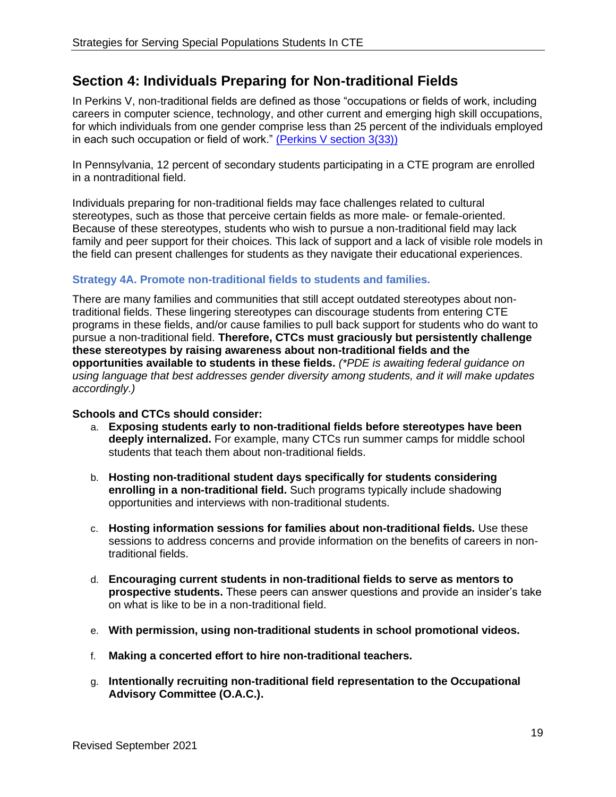# <span id="page-18-0"></span>**Section 4: Individuals Preparing for Non-traditional Fields**

In Perkins V, non-traditional fields are defined as those "occupations or fields of work, including careers in computer science, technology, and other current and emerging high skill occupations, for which individuals from one gender comprise less than 25 percent of the individuals employed in each such occupation or field of work." [\(Perkins V section 3\(33\)\)](https://www.govinfo.gov/content/pkg/COMPS-3096/pdf/COMPS-3096.pdf)

In Pennsylvania, 12 percent of secondary students participating in a CTE program are enrolled in a nontraditional field.

Individuals preparing for non-traditional fields may face challenges related to cultural stereotypes, such as those that perceive certain fields as more male- or female-oriented. Because of these stereotypes, students who wish to pursue a non-traditional field may lack family and peer support for their choices. This lack of support and a lack of visible role models in the field can present challenges for students as they navigate their educational experiences.

# **Strategy 4A. Promote non-traditional fields to students and families.**

There are many families and communities that still accept outdated stereotypes about nontraditional fields. These lingering stereotypes can discourage students from entering CTE programs in these fields, and/or cause families to pull back support for students who do want to pursue a non-traditional field. **Therefore, CTCs must graciously but persistently challenge these stereotypes by raising awareness about non-traditional fields and the opportunities available to students in these fields.** *(\*PDE is awaiting federal guidance on using language that best addresses gender diversity among students, and it will make updates accordingly.)*

# **Schools and CTCs should consider:**

- a. **Exposing students early to non-traditional fields before stereotypes have been deeply internalized.** For example, many CTCs run summer camps for middle school students that teach them about non-traditional fields.
- b. **Hosting non-traditional student days specifically for students considering enrolling in a non-traditional field.** Such programs typically include shadowing opportunities and interviews with non-traditional students.
- c. **Hosting information sessions for families about non-traditional fields.** Use these sessions to address concerns and provide information on the benefits of careers in nontraditional fields.
- d. **Encouraging current students in non-traditional fields to serve as mentors to prospective students.** These peers can answer questions and provide an insider's take on what is like to be in a non-traditional field.
- e. **With permission, using non-traditional students in school promotional videos.**
- f. **Making a concerted effort to hire non-traditional teachers.**
- g. **Intentionally recruiting non-traditional field representation to the Occupational Advisory Committee (O.A.C.).**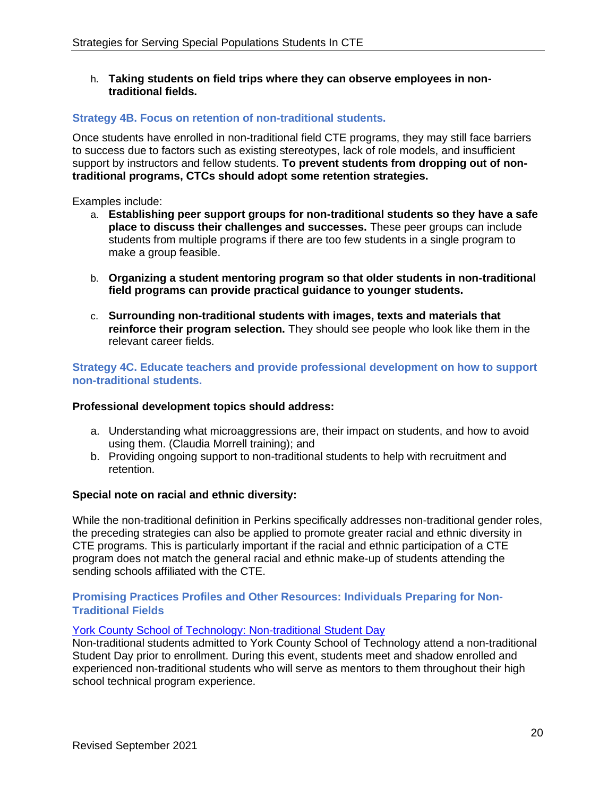h. **Taking students on field trips where they can observe employees in nontraditional fields.** 

# **Strategy 4B. Focus on retention of non-traditional students.**

Once students have enrolled in non-traditional field CTE programs, they may still face barriers to success due to factors such as existing stereotypes, lack of role models, and insufficient support by instructors and fellow students. **To prevent students from dropping out of nontraditional programs, CTCs should adopt some retention strategies.**

Examples include:

- a. **Establishing peer support groups for non-traditional students so they have a safe place to discuss their challenges and successes.** These peer groups can include students from multiple programs if there are too few students in a single program to make a group feasible.
- b. **Organizing a student mentoring program so that older students in non-traditional field programs can provide practical guidance to younger students.**
- c. **Surrounding non-traditional students with images, texts and materials that reinforce their program selection.** They should see people who look like them in the relevant career fields.

**Strategy 4C. Educate teachers and provide professional development on how to support non-traditional students.** 

# **Professional development topics should address:**

- a. Understanding what microaggressions are, their impact on students, and how to avoid using them. (Claudia Morrell training); and
- b. Providing ongoing support to non-traditional students to help with recruitment and retention.

# **Special note on racial and ethnic diversity:**

While the non-traditional definition in Perkins specifically addresses non-traditional gender roles, the preceding strategies can also be applied to promote greater racial and ethnic diversity in CTE programs. This is particularly important if the racial and ethnic participation of a CTE program does not match the general racial and ethnic make-up of students attending the sending schools affiliated with the CTE.

#### **Promising Practices Profiles and Other Resources: Individuals Preparing for Non-Traditional Fields**

# [York County School of Technology: Non-traditional Student Day](http://pacteresources.com/2021/03/non-traditional-student-day/)

Non-traditional students admitted to York County School of Technology attend a non-traditional Student Day prior to enrollment. During this event, students meet and shadow enrolled and experienced non-traditional students who will serve as mentors to them throughout their high school technical program experience.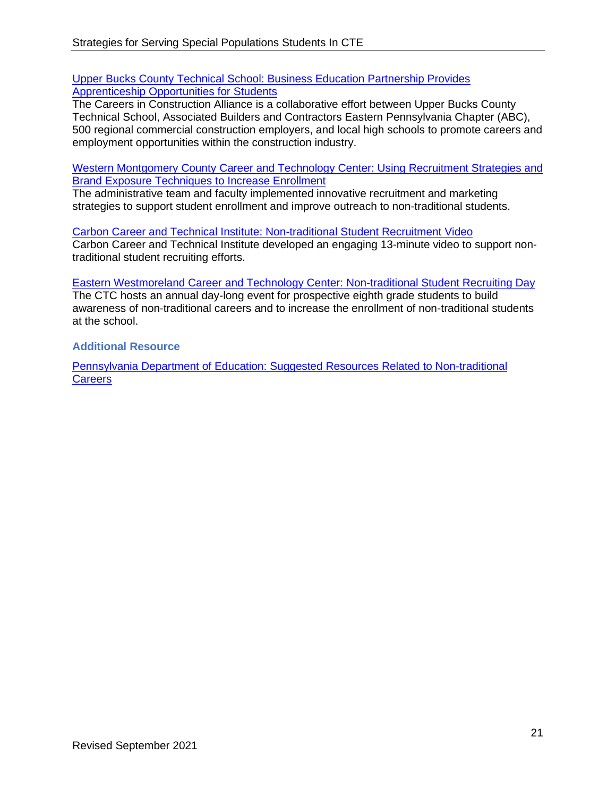[Upper Bucks County Technical School: Business Education Partnership Provides](http://pacteresources.com/2019/10/business-education-partnership-provides-apprenticeship-opportunities-for-students/)  [Apprenticeship Opportunities for Students](http://pacteresources.com/2019/10/business-education-partnership-provides-apprenticeship-opportunities-for-students/)

The Careers in Construction Alliance is a collaborative effort between Upper Bucks County Technical School, Associated Builders and Contractors Eastern Pennsylvania Chapter (ABC), 500 regional commercial construction employers, and local high schools to promote careers and employment opportunities within the construction industry.

[Western Montgomery County Career and Technology Center: Using Recruitment Strategies and](http://pacteresources.com/2018/04/western-montgomery-county-career-and-technology-center-utilizing-recruitment-strategies-and-brand-exposure-techniques-to-increase-enrollment/)  [Brand Exposure Techniques to Increase Enrollment](http://pacteresources.com/2018/04/western-montgomery-county-career-and-technology-center-utilizing-recruitment-strategies-and-brand-exposure-techniques-to-increase-enrollment/)

The administrative team and faculty implemented innovative recruitment and marketing strategies to support student enrollment and improve outreach to non-traditional students.

[Carbon Career and Technical Institute: Non-traditional Student Recruitment Video](http://pacteresources.com/2017/11/carbon-career-and-technical-institute-non-traditional-student-recruitment-video/) Carbon Career and Technical Institute developed an engaging 13-minute video to support nontraditional student recruiting efforts.

[Eastern Westmoreland Career and Technology Center: Non-traditional Student Recruiting Day](http://pacteresources.com/2015/07/non-traditional-student-recruiting-day/) The CTC hosts an annual day-long event for prospective eighth grade students to build awareness of non-traditional careers and to increase the enrollment of non-traditional students at the school.

**Additional Resource** 

[Pennsylvania Department of Education: Suggested Resources Related to Non-traditional](https://www.education.pa.gov/K-12/Career%20and%20Technical%20Education/Perkins/Pages/NontraditionalPrograms.aspx)  **[Careers](https://www.education.pa.gov/K-12/Career%20and%20Technical%20Education/Perkins/Pages/NontraditionalPrograms.aspx)**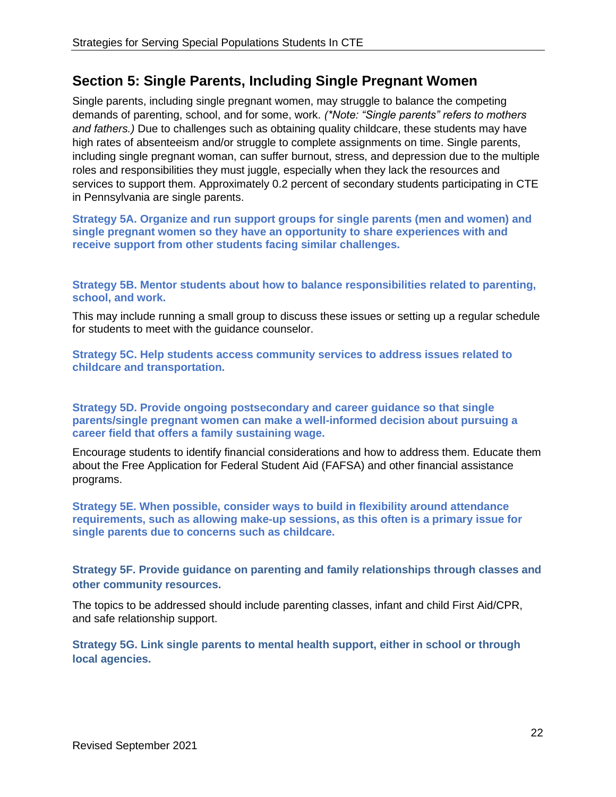# <span id="page-21-0"></span>**Section 5: Single Parents, Including Single Pregnant Women**

Single parents, including single pregnant women, may struggle to balance the competing demands of parenting, school, and for some, work. *(\*Note: "Single parents" refers to mothers and fathers.)* Due to challenges such as obtaining quality childcare, these students may have high rates of absenteeism and/or struggle to complete assignments on time. Single parents, including single pregnant woman, can suffer burnout, stress, and depression due to the multiple roles and responsibilities they must juggle, especially when they lack the resources and services to support them. Approximately 0.2 percent of secondary students participating in CTE in Pennsylvania are single parents.

**Strategy 5A. Organize and run support groups for single parents (men and women) and single pregnant women so they have an opportunity to share experiences with and receive support from other students facing similar challenges.**

**Strategy 5B. Mentor students about how to balance responsibilities related to parenting, school, and work.** 

This may include running a small group to discuss these issues or setting up a regular schedule for students to meet with the guidance counselor.

**Strategy 5C. Help students access community services to address issues related to childcare and transportation.**

**Strategy 5D. Provide ongoing postsecondary and career guidance so that single parents/single pregnant women can make a well-informed decision about pursuing a career field that offers a family sustaining wage.**

Encourage students to identify financial considerations and how to address them. Educate them about the Free Application for Federal Student Aid (FAFSA) and other financial assistance programs.

**Strategy 5E. When possible, consider ways to build in flexibility around attendance requirements, such as allowing make-up sessions, as this often is a primary issue for single parents due to concerns such as childcare.**

**Strategy 5F. Provide guidance on parenting and family relationships through classes and other community resources.** 

The topics to be addressed should include parenting classes, infant and child First Aid/CPR, and safe relationship support.

**Strategy 5G. Link single parents to mental health support, either in school or through local agencies.**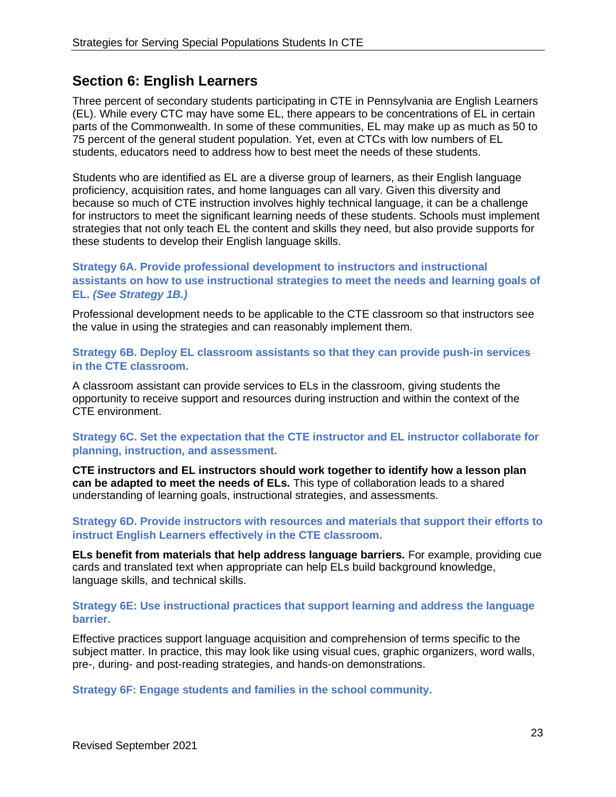# <span id="page-22-0"></span>**Section 6: English Learners**

Three percent of secondary students participating in CTE in Pennsylvania are English Learners (EL). While every CTC may have some EL, there appears to be concentrations of EL in certain parts of the Commonwealth. In some of these communities, EL may make up as much as 50 to 75 percent of the general student population. Yet, even at CTCs with low numbers of EL students, educators need to address how to best meet the needs of these students.

Students who are identified as EL are a diverse group of learners, as their English language proficiency, acquisition rates, and home languages can all vary. Given this diversity and because so much of CTE instruction involves highly technical language, it can be a challenge for instructors to meet the significant learning needs of these students. Schools must implement strategies that not only teach EL the content and skills they need, but also provide supports for these students to develop their English language skills.

# **Strategy 6A. Provide professional development to instructors and instructional assistants on how to use instructional strategies to meet the needs and learning goals of EL.** *(See Strategy 1B.)*

Professional development needs to be applicable to the CTE classroom so that instructors see the value in using the strategies and can reasonably implement them.

**Strategy 6B. Deploy EL classroom assistants so that they can provide push-in services in the CTE classroom.** 

A classroom assistant can provide services to ELs in the classroom, giving students the opportunity to receive support and resources during instruction and within the context of the CTE environment.

# **Strategy 6C. Set the expectation that the CTE instructor and EL instructor collaborate for planning, instruction, and assessment.**

**CTE instructors and EL instructors should work together to identify how a lesson plan can be adapted to meet the needs of ELs.** This type of collaboration leads to a shared understanding of learning goals, instructional strategies, and assessments.

#### **Strategy 6D. Provide instructors with resources and materials that support their efforts to instruct English Learners effectively in the CTE classroom.**

**ELs benefit from materials that help address language barriers.** For example, providing cue cards and translated text when appropriate can help ELs build background knowledge, language skills, and technical skills.

# **Strategy 6E: Use instructional practices that support learning and address the language barrier.**

Effective practices support language acquisition and comprehension of terms specific to the subject matter. In practice, this may look like using visual cues, graphic organizers, word walls, pre-, during- and post-reading strategies, and hands-on demonstrations.

**Strategy 6F: Engage students and families in the school community.**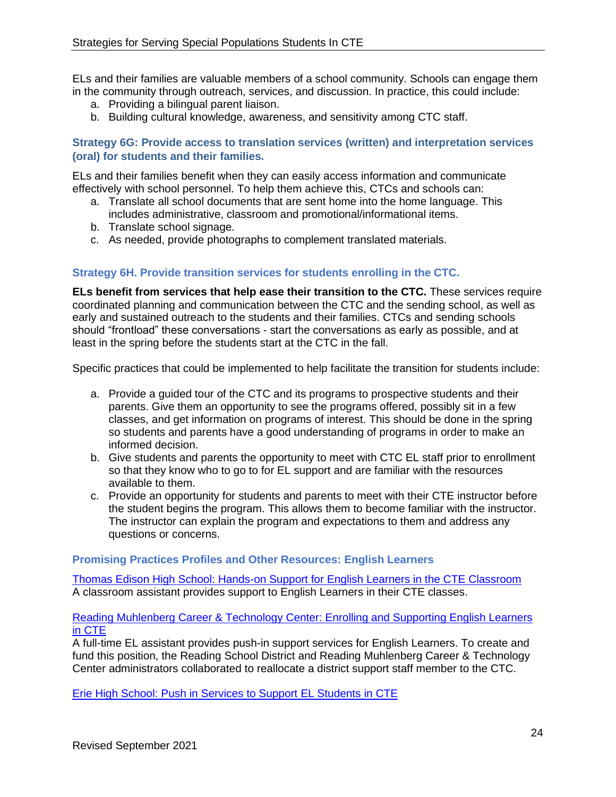ELs and their families are valuable members of a school community. Schools can engage them in the community through outreach, services, and discussion. In practice, this could include:

- a. Providing a bilingual parent liaison.
- b. Building cultural knowledge, awareness, and sensitivity among CTC staff.

# **Strategy 6G: Provide access to translation services (written) and interpretation services (oral) for students and their families.**

ELs and their families benefit when they can easily access information and communicate effectively with school personnel. To help them achieve this, CTCs and schools can:

- a. Translate all school documents that are sent home into the home language. This includes administrative, classroom and promotional/informational items.
- b. Translate school signage.
- c. As needed, provide photographs to complement translated materials.

# **Strategy 6H. Provide transition services for students enrolling in the CTC.**

**ELs benefit from services that help ease their transition to the CTC.** These services require coordinated planning and communication between the CTC and the sending school, as well as early and sustained outreach to the students and their families. CTCs and sending schools should "frontload" these conversations - start the conversations as early as possible, and at least in the spring before the students start at the CTC in the fall.

Specific practices that could be implemented to help facilitate the transition for students include:

- a. Provide a guided tour of the CTC and its programs to prospective students and their parents. Give them an opportunity to see the programs offered, possibly sit in a few classes, and get information on programs of interest. This should be done in the spring so students and parents have a good understanding of programs in order to make an informed decision.
- b. Give students and parents the opportunity to meet with CTC EL staff prior to enrollment so that they know who to go to for EL support and are familiar with the resources available to them.
- c. Provide an opportunity for students and parents to meet with their CTE instructor before the student begins the program. This allows them to become familiar with the instructor. The instructor can explain the program and expectations to them and address any questions or concerns.

#### **Promising Practices Profiles and Other Resources: English Learners**

[Thomas Edison High School: Hands-on Support for English Learners in the CTE Classroom](http://pacteresources.com/2021/04/thomas-edison-high-school-the-school-district-of-philadelphia-hands-on-support-for-english-learners-in-the-cte-classroom/) A classroom assistant provides support to English Learners in their CTE classes.

#### [Reading Muhlenberg Career & Technology Center: Enrolling and Supporting English Learners](http://pacteresources.com/2021/03/enrolling-and-supporting-english-learners-in-cte/)  [in CTE](http://pacteresources.com/2021/03/enrolling-and-supporting-english-learners-in-cte/)

A full-time EL assistant provides push-in support services for English Learners. To create and fund this position, the Reading School District and Reading Muhlenberg Career & Technology Center administrators collaborated to reallocate a district support staff member to the CTC.

[Erie High School: Push in Services to Support EL Students in CTE](http://pacteresources.com/2021/03/push-in-services-to-support-el-students-in-cte/)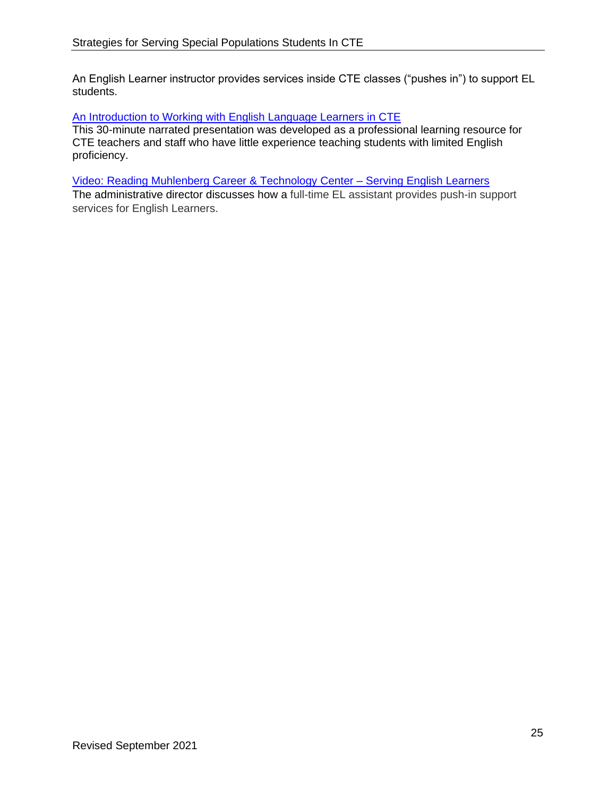An English Learner instructor provides services inside CTE classes ("pushes in") to support EL students.

### [An Introduction to Working with English Language Learners in CTE](http://pacteresources.com/2017/09/an-introduction-to-working-with-english-language-learners-in-cte/)

This 30-minute narrated presentation was developed as a professional learning resource for CTE teachers and staff who have little experience teaching students with limited English proficiency.

#### [Video: Reading Muhlenberg Career & Technology Center –](http://pacteresources.com/2021/06/the-best-practice-tap-profiles-webcast-series-episode-13/) Serving English Learners

The administrative director discusses how a full-time EL assistant provides push-in support services for English Learners.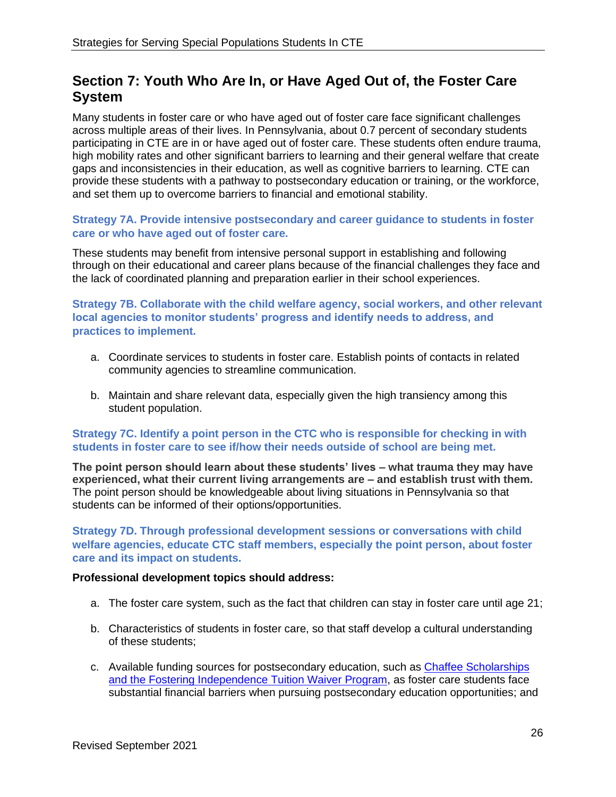# <span id="page-25-0"></span>**Section 7: Youth Who Are In, or Have Aged Out of, the Foster Care System**

Many students in foster care or who have aged out of foster care face significant challenges across multiple areas of their lives. In Pennsylvania, about 0.7 percent of secondary students participating in CTE are in or have aged out of foster care. These students often endure trauma, high mobility rates and other significant barriers to learning and their general welfare that create gaps and inconsistencies in their education, as well as cognitive barriers to learning. CTE can provide these students with a pathway to postsecondary education or training, or the workforce, and set them up to overcome barriers to financial and emotional stability.

# **Strategy 7A. Provide intensive postsecondary and career guidance to students in foster care or who have aged out of foster care.**

These students may benefit from intensive personal support in establishing and following through on their educational and career plans because of the financial challenges they face and the lack of coordinated planning and preparation earlier in their school experiences.

**Strategy 7B. Collaborate with the child welfare agency, social workers, and other relevant local agencies to monitor students' progress and identify needs to address, and practices to implement.** 

- a. Coordinate services to students in foster care. Establish points of contacts in related community agencies to streamline communication.
- b. Maintain and share relevant data, especially given the high transiency among this student population.

# **Strategy 7C. Identify a point person in the CTC who is responsible for checking in with students in foster care to see if/how their needs outside of school are being met.**

**The point person should learn about these students' lives – what trauma they may have experienced, what their current living arrangements are – and establish trust with them.** The point person should be knowledgeable about living situations in Pennsylvania so that students can be informed of their options/opportunities.

**Strategy 7D. Through professional development sessions or conversations with child welfare agencies, educate CTC staff members, especially the point person, about foster care and its impact on students.**

# **Professional development topics should address:**

- a. The foster care system, such as the fact that children can stay in foster care until age 21;
- b. Characteristics of students in foster care, so that staff develop a cultural understanding of these students;
- c. Available funding sources for postsecondary education, such as [Chaffee Scholarships](https://d.docs.live.net/Users/hansmeeder/Downloads/o%09https:/www.pheaa.org/funding-opportunities/other-educational-aid/chafee-program.shtml) and the [Fostering Independence Tuition Waiver Program,](https://www.education.pa.gov/Postsecondary-Adult/CollegeCareer/FosteringIndependence/Pages/default.aspx) as foster care students face substantial financial barriers when pursuing postsecondary education opportunities; and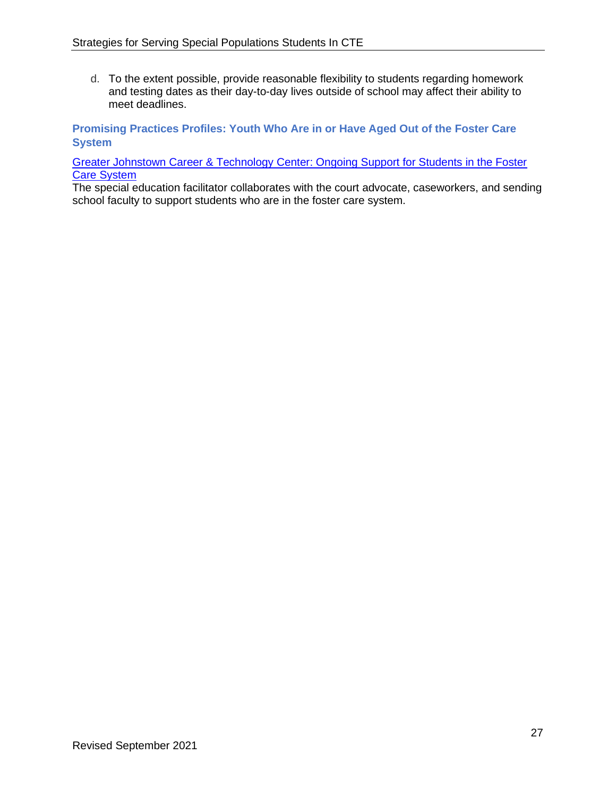d. To the extent possible, provide reasonable flexibility to students regarding homework and testing dates as their day-to-day lives outside of school may affect their ability to meet deadlines.

**Promising Practices Profiles: Youth Who Are in or Have Aged Out of the Foster Care System**

[Greater Johnstown Career & Technology Center: Ongoing Support for Students in the Foster](http://pacteresources.com/category/special-populations/youth-foster-care/)  [Care System](http://pacteresources.com/category/special-populations/youth-foster-care/)

The special education facilitator collaborates with the court advocate, caseworkers, and sending school faculty to support students who are in the foster care system.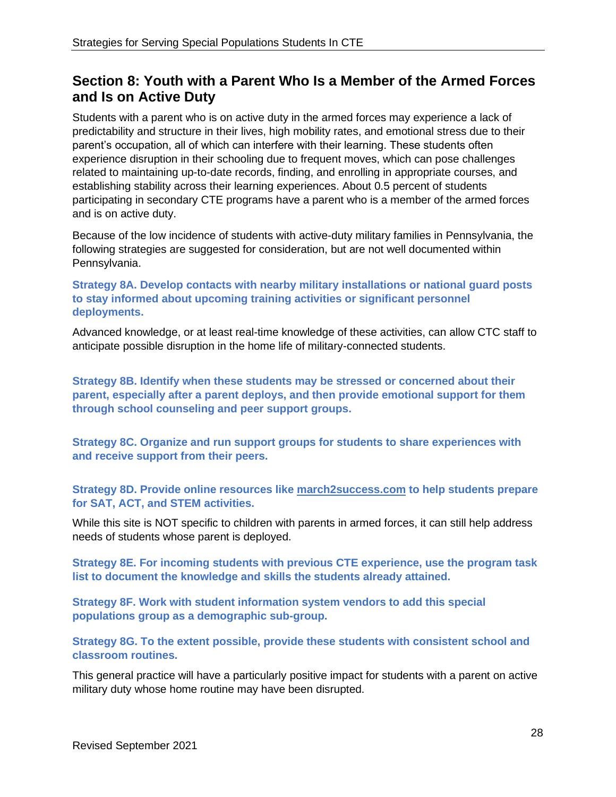# <span id="page-27-0"></span>**Section 8: Youth with a Parent Who Is a Member of the Armed Forces and Is on Active Duty**

Students with a parent who is on active duty in the armed forces may experience a lack of predictability and structure in their lives, high mobility rates, and emotional stress due to their parent's occupation, all of which can interfere with their learning. These students often experience disruption in their schooling due to frequent moves, which can pose challenges related to maintaining up-to-date records, finding, and enrolling in appropriate courses, and establishing stability across their learning experiences. About 0.5 percent of students participating in secondary CTE programs have a parent who is a member of the armed forces and is on active duty.

Because of the low incidence of students with active-duty military families in Pennsylvania, the following strategies are suggested for consideration, but are not well documented within Pennsylvania.

**Strategy 8A. Develop contacts with nearby military installations or national guard posts to stay informed about upcoming training activities or significant personnel deployments.** 

Advanced knowledge, or at least real-time knowledge of these activities, can allow CTC staff to anticipate possible disruption in the home life of military-connected students.

**Strategy 8B. Identify when these students may be stressed or concerned about their parent, especially after a parent deploys, and then provide emotional support for them through school counseling and peer support groups.** 

**Strategy 8C. Organize and run support groups for students to share experiences with and receive support from their peers.**

**Strategy 8D. Provide online resources like [march2success.com](https://march2success.com/) to help students prepare for SAT, ACT, and STEM activities.** 

While this site is NOT specific to children with parents in armed forces, it can still help address needs of students whose parent is deployed.

**Strategy 8E. For incoming students with previous CTE experience, use the program task list to document the knowledge and skills the students already attained.**

**Strategy 8F. Work with student information system vendors to add this special populations group as a demographic sub-group.**

**Strategy 8G. To the extent possible, provide these students with consistent school and classroom routines.** 

This general practice will have a particularly positive impact for students with a parent on active military duty whose home routine may have been disrupted.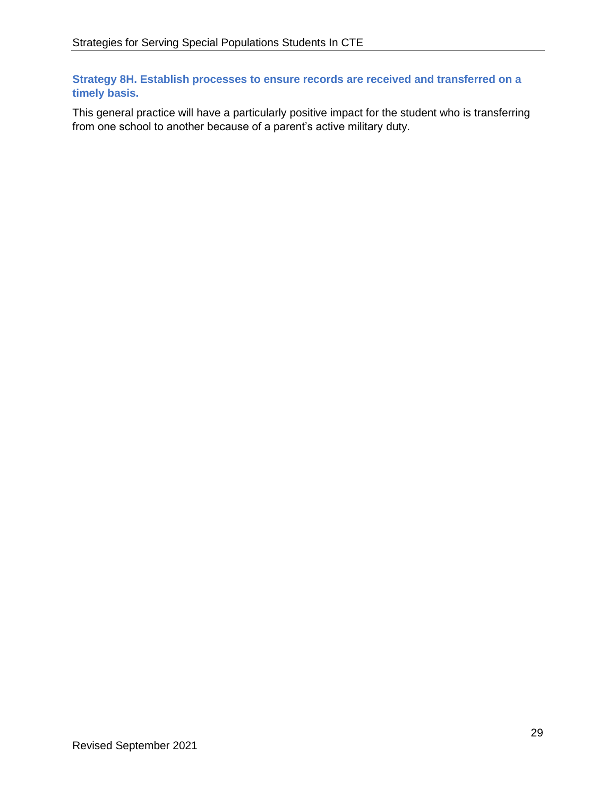**Strategy 8H. Establish processes to ensure records are received and transferred on a timely basis.** 

This general practice will have a particularly positive impact for the student who is transferring from one school to another because of a parent's active military duty.